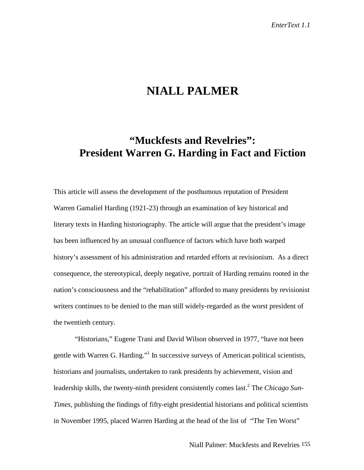# **NIALL PALMER**

# **"Muckfests and Revelries": President Warren G. Harding in Fact and Fiction**

This article will assess the development of the posthumous reputation of President Warren Gamaliel Harding (1921-23) through an examination of key historical and literary texts in Harding historiography. The article will argue that the president's image has been influenced by an unusual confluence of factors which have both warped history's assessment of his administration and retarded efforts at revisionism. As a direct consequence, the stereotypical, deeply negative, portrait of Harding remains rooted in the nation's consciousness and the "rehabilitation" afforded to many presidents by revisionist writers continues to be denied to the man still widely-regarded as the worst president of the twentieth century.

"Historians," Eugene Trani and David Wilson observed in 1977, "have not been gentle with Warren G. Harding."<sup>1</sup> In successive surveys of American political scientists, historians and journalists, undertaken to rank presidents by achievement, vision and leadership skills, the twenty-ninth president consistently comes last.2 The *Chicago Sun-Times,* publishing the findings of fifty-eight presidential historians and political scientists in November 1995, placed Warren Harding at the head of the list of "The Ten Worst"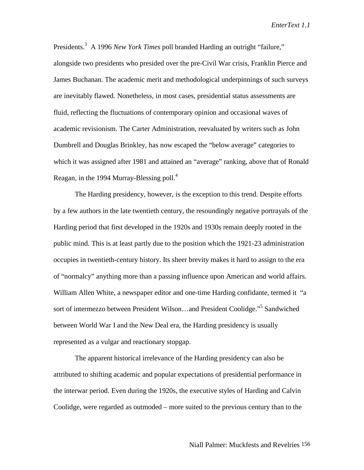Presidents.<sup>3</sup> A 1996 *New York Times* poll branded Harding an outright "failure," alongside two presidents who presided over the pre-Civil War crisis, Franklin Pierce and James Buchanan. The academic merit and methodological underpinnings of such surveys are inevitably flawed. Nonetheless, in most cases, presidential status assessments are fluid, reflecting the fluctuations of contemporary opinion and occasional waves of academic revisionism. The Carter Administration, reevaluated by writers such as John Dumbrell and Douglas Brinkley, has now escaped the "below average" categories to which it was assigned after 1981 and attained an "average" ranking, above that of Ronald Reagan, in the 1994 Murray-Blessing poll. $4$ 

The Harding presidency, however, is the exception to this trend. Despite efforts by a few authors in the late twentieth century, the resoundingly negative portrayals of the Harding period that first developed in the 1920s and 1930s remain deeply rooted in the public mind. This is at least partly due to the position which the 1921-23 administration occupies in twentieth-century history. Its sheer brevity makes it hard to assign to the era of "normalcy" anything more than a passing influence upon American and world affairs. William Allen White, a newspaper editor and one-time Harding confidante, termed it "a sort of intermezzo between President Wilson...and President Coolidge."<sup>5</sup> Sandwiched between World War I and the New Deal era, the Harding presidency is usually represented as a vulgar and reactionary stopgap.

The apparent historical irrelevance of the Harding presidency can also be attributed to shifting academic and popular expectations of presidential performance in the interwar period. Even during the 1920s, the executive styles of Harding and Calvin Coolidge, were regarded as outmoded – more suited to the previous century than to the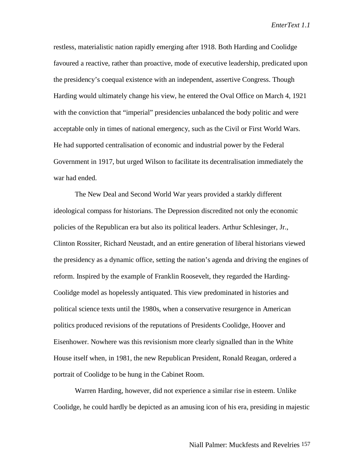restless, materialistic nation rapidly emerging after 1918. Both Harding and Coolidge favoured a reactive, rather than proactive, mode of executive leadership, predicated upon the presidency's coequal existence with an independent, assertive Congress. Though Harding would ultimately change his view, he entered the Oval Office on March 4, 1921 with the conviction that "imperial" presidencies unbalanced the body politic and were acceptable only in times of national emergency, such as the Civil or First World Wars. He had supported centralisation of economic and industrial power by the Federal Government in 1917, but urged Wilson to facilitate its decentralisation immediately the war had ended.

The New Deal and Second World War years provided a starkly different ideological compass for historians. The Depression discredited not only the economic policies of the Republican era but also its political leaders. Arthur Schlesinger, Jr., Clinton Rossiter, Richard Neustadt, and an entire generation of liberal historians viewed the presidency as a dynamic office, setting the nation's agenda and driving the engines of reform. Inspired by the example of Franklin Roosevelt, they regarded the Harding-Coolidge model as hopelessly antiquated. This view predominated in histories and political science texts until the 1980s, when a conservative resurgence in American politics produced revisions of the reputations of Presidents Coolidge, Hoover and Eisenhower. Nowhere was this revisionism more clearly signalled than in the White House itself when, in 1981, the new Republican President, Ronald Reagan, ordered a portrait of Coolidge to be hung in the Cabinet Room.

Warren Harding, however, did not experience a similar rise in esteem. Unlike Coolidge, he could hardly be depicted as an amusing icon of his era, presiding in majestic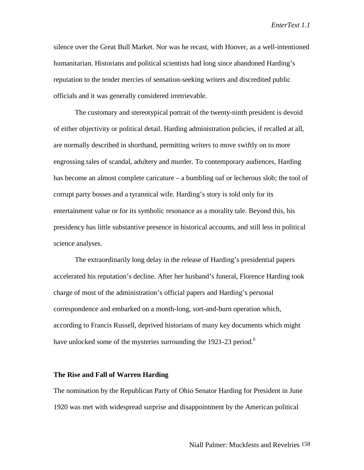silence over the Great Bull Market. Nor was he recast, with Hoover, as a well-intentioned humanitarian. Historians and political scientists had long since abandoned Harding's reputation to the tender mercies of sensation-seeking writers and discredited public officials and it was generally considered irretrievable.

The customary and stereotypical portrait of the twenty-ninth president is devoid of either objectivity or political detail. Harding administration policies, if recalled at all, are normally described in shorthand, permitting writers to move swiftly on to more engrossing tales of scandal, adultery and murder. To contemporary audiences, Harding has become an almost complete caricature – a bumbling oaf or lecherous slob; the tool of corrupt party bosses and a tyrannical wife. Harding's story is told only for its entertainment value or for its symbolic resonance as a morality tale. Beyond this, his presidency has little substantive presence in historical accounts, and still less in political science analyses.

The extraordinarily long delay in the release of Harding's presidential papers accelerated his reputation's decline. After her husband's funeral, Florence Harding took charge of most of the administration's official papers and Harding's personal correspondence and embarked on a month-long, sort-and-burn operation which, according to Francis Russell, deprived historians of many key documents which might have unlocked some of the mysteries surrounding the 1921-23 period.<sup>6</sup>

#### **The Rise and Fall of Warren Harding**

The nomination by the Republican Party of Ohio Senator Harding for President in June 1920 was met with widespread surprise and disappointment by the American political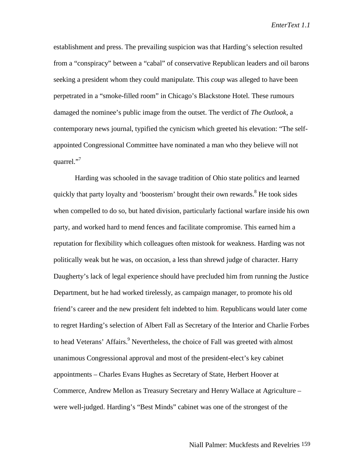establishment and press. The prevailing suspicion was that Harding's selection resulted from a "conspiracy" between a "cabal" of conservative Republican leaders and oil barons seeking a president whom they could manipulate. This *coup* was alleged to have been perpetrated in a "smoke-filled room" in Chicago's Blackstone Hotel. These rumours damaged the nominee's public image from the outset. The verdict of *The Outlook*, a contemporary news journal, typified the cynicism which greeted his elevation: "The selfappointed Congressional Committee have nominated a man who they believe will not quarrel."<sup>7</sup>

Harding was schooled in the savage tradition of Ohio state politics and learned quickly that party loyalty and 'boosterism' brought their own rewards.<sup>8</sup> He took sides when compelled to do so, but hated division, particularly factional warfare inside his own party, and worked hard to mend fences and facilitate compromise. This earned him a reputation for flexibility which colleagues often mistook for weakness. Harding was not politically weak but he was, on occasion, a less than shrewd judge of character. Harry Daugherty's lack of legal experience should have precluded him from running the Justice Department, but he had worked tirelessly, as campaign manager, to promote his old friend's career and the new president felt indebted to him. Republicans would later come to regret Harding's selection of Albert Fall as Secretary of the Interior and Charlie Forbes to head Veterans' Affairs.<sup>9</sup> Nevertheless, the choice of Fall was greeted with almost unanimous Congressional approval and most of the president-elect's key cabinet appointments – Charles Evans Hughes as Secretary of State, Herbert Hoover at Commerce, Andrew Mellon as Treasury Secretary and Henry Wallace at Agriculture – were well-judged. Harding's "Best Minds" cabinet was one of the strongest of the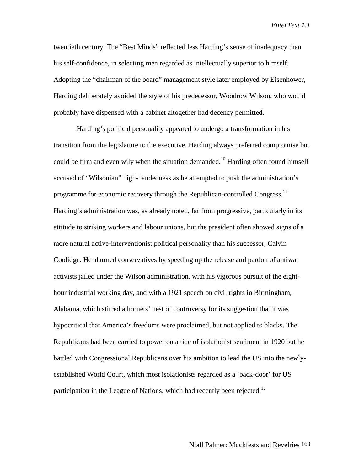twentieth century. The "Best Minds" reflected less Harding's sense of inadequacy than his self-confidence, in selecting men regarded as intellectually superior to himself. Adopting the "chairman of the board" management style later employed by Eisenhower, Harding deliberately avoided the style of his predecessor, Woodrow Wilson, who would probably have dispensed with a cabinet altogether had decency permitted.

 Harding's political personality appeared to undergo a transformation in his transition from the legislature to the executive. Harding always preferred compromise but could be firm and even wily when the situation demanded.<sup>10</sup> Harding often found himself accused of "Wilsonian" high-handedness as he attempted to push the administration's programme for economic recovery through the Republican-controlled Congress.<sup>11</sup> Harding's administration was, as already noted, far from progressive, particularly in its attitude to striking workers and labour unions, but the president often showed signs of a more natural active-interventionist political personality than his successor, Calvin Coolidge. He alarmed conservatives by speeding up the release and pardon of antiwar activists jailed under the Wilson administration, with his vigorous pursuit of the eighthour industrial working day, and with a 1921 speech on civil rights in Birmingham, Alabama, which stirred a hornets' nest of controversy for its suggestion that it was hypocritical that America's freedoms were proclaimed, but not applied to blacks. The Republicans had been carried to power on a tide of isolationist sentiment in 1920 but he battled with Congressional Republicans over his ambition to lead the US into the newlyestablished World Court, which most isolationists regarded as a 'back-door' for US participation in the League of Nations, which had recently been rejected.<sup>12</sup>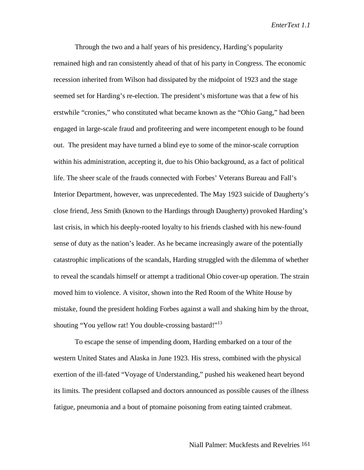Through the two and a half years of his presidency, Harding's popularity remained high and ran consistently ahead of that of his party in Congress. The economic recession inherited from Wilson had dissipated by the midpoint of 1923 and the stage seemed set for Harding's re-election. The president's misfortune was that a few of his erstwhile "cronies," who constituted what became known as the "Ohio Gang," had been engaged in large-scale fraud and profiteering and were incompetent enough to be found out. The president may have turned a blind eye to some of the minor-scale corruption within his administration, accepting it, due to his Ohio background, as a fact of political life. The sheer scale of the frauds connected with Forbes' Veterans Bureau and Fall's Interior Department, however, was unprecedented. The May 1923 suicide of Daugherty's close friend, Jess Smith (known to the Hardings through Daugherty) provoked Harding's last crisis, in which his deeply-rooted loyalty to his friends clashed with his new-found sense of duty as the nation's leader. As he became increasingly aware of the potentially catastrophic implications of the scandals, Harding struggled with the dilemma of whether to reveal the scandals himself or attempt a traditional Ohio cover-up operation. The strain moved him to violence. A visitor, shown into the Red Room of the White House by mistake, found the president holding Forbes against a wall and shaking him by the throat, shouting "You yellow rat! You double-crossing bastard!"<sup>13</sup>

To escape the sense of impending doom, Harding embarked on a tour of the western United States and Alaska in June 1923. His stress, combined with the physical exertion of the ill-fated "Voyage of Understanding," pushed his weakened heart beyond its limits. The president collapsed and doctors announced as possible causes of the illness fatigue, pneumonia and a bout of ptomaine poisoning from eating tainted crabmeat.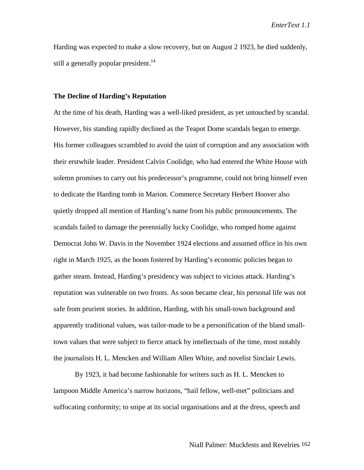Harding was expected to make a slow recovery, but on August 2 1923, he died suddenly, still a generally popular president.<sup>14</sup>

### **The Decline of Harding's Reputation**

At the time of his death, Harding was a well-liked president, as yet untouched by scandal. However, his standing rapidly declined as the Teapot Dome scandals began to emerge. His former colleagues scrambled to avoid the taint of corruption and any association with their erstwhile leader. President Calvin Coolidge, who had entered the White House with solemn promises to carry out his predecessor's programme, could not bring himself even to dedicate the Harding tomb in Marion. Commerce Secretary Herbert Hoover also quietly dropped all mention of Harding's name from his public pronouncements. The scandals failed to damage the perennially lucky Coolidge, who romped home against Democrat John W. Davis in the November 1924 elections and assumed office in his own right in March 1925, as the boom fostered by Harding's economic policies began to gather steam. Instead, Harding's presidency was subject to vicious attack. Harding's reputation was vulnerable on two fronts. As soon became clear, his personal life was not safe from prurient stories. In addition, Harding, with his small-town background and apparently traditional values, was tailor-made to be a personification of the bland smalltown values that were subject to fierce attack by intellectuals of the time, most notably the journalists H. L. Mencken and William Allen White, and novelist Sinclair Lewis.

By 1923, it had become fashionable for writers such as H. L. Mencken to lampoon Middle America's narrow horizons, "hail fellow, well-met" politicians and suffocating conformity; to snipe at its social organisations and at the dress, speech and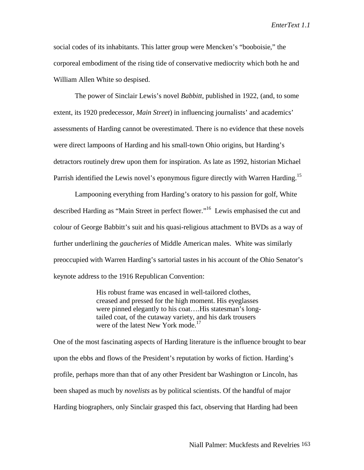social codes of its inhabitants. This latter group were Mencken's "booboisie," the corporeal embodiment of the rising tide of conservative mediocrity which both he and William Allen White so despised.

The power of Sinclair Lewis's novel *Babbitt*, published in 1922, (and, to some extent, its 1920 predecessor, *Main Street*) in influencing journalists' and academics' assessments of Harding cannot be overestimated. There is no evidence that these novels were direct lampoons of Harding and his small-town Ohio origins, but Harding's detractors routinely drew upon them for inspiration. As late as 1992, historian Michael Parrish identified the Lewis novel's eponymous figure directly with Warren Harding.<sup>15</sup>

Lampooning everything from Harding's oratory to his passion for golf, White described Harding as "Main Street in perfect flower."16 Lewis emphasised the cut and colour of George Babbitt's suit and his quasi-religious attachment to BVDs as a way of further underlining the *gaucheries* of Middle American males. White was similarly preoccupied with Warren Harding's sartorial tastes in his account of the Ohio Senator's keynote address to the 1916 Republican Convention:

> His robust frame was encased in well-tailored clothes, creased and pressed for the high moment. His eyeglasses were pinned elegantly to his coat....His statesman's longtailed coat, of the cutaway variety, and his dark trousers were of the latest New York mode.<sup>17</sup>

One of the most fascinating aspects of Harding literature is the influence brought to bear upon the ebbs and flows of the President's reputation by works of fiction. Harding's profile, perhaps more than that of any other President bar Washington or Lincoln, has been shaped as much by *novelists* as by political scientists. Of the handful of major Harding biographers, only Sinclair grasped this fact, observing that Harding had been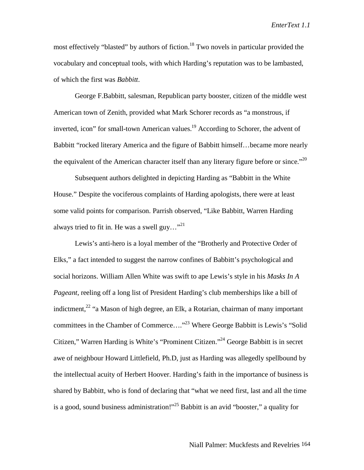most effectively "blasted" by authors of fiction.<sup>18</sup> Two novels in particular provided the vocabulary and conceptual tools, with which Harding's reputation was to be lambasted, of which the first was *Babbitt*.

George F.Babbitt, salesman, Republican party booster, citizen of the middle west American town of Zenith, provided what Mark Schorer records as "a monstrous, if inverted, icon" for small-town American values.<sup>19</sup> According to Schorer, the advent of Babbitt "rocked literary America and the figure of Babbitt himself…became more nearly the equivalent of the American character itself than any literary figure before or since."<sup>20</sup>

Subsequent authors delighted in depicting Harding as "Babbitt in the White House." Despite the vociferous complaints of Harding apologists, there were at least some valid points for comparison. Parrish observed, "Like Babbitt, Warren Harding always tried to fit in. He was a swell guy... $^{321}$ 

Lewis's anti-hero is a loyal member of the "Brotherly and Protective Order of Elks," a fact intended to suggest the narrow confines of Babbitt's psychological and social horizons. William Allen White was swift to ape Lewis's style in his *Masks In A Pageant*, reeling off a long list of President Harding's club memberships like a bill of indictment, $^{22}$  "a Mason of high degree, an Elk, a Rotarian, chairman of many important committees in the Chamber of Commerce...."<sup>23</sup> Where George Babbitt is Lewis's "Solid" Citizen," Warren Harding is White's "Prominent Citizen."24 George Babbitt is in secret awe of neighbour Howard Littlefield, Ph.D, just as Harding was allegedly spellbound by the intellectual acuity of Herbert Hoover. Harding's faith in the importance of business is shared by Babbitt, who is fond of declaring that "what we need first, last and all the time is a good, sound business administration!"<sup>25</sup> Babbitt is an avid "booster," a quality for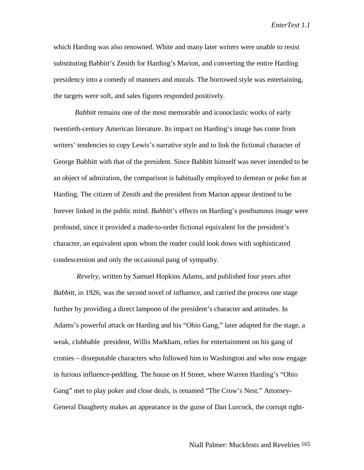which Harding was also renowned. White and many later writers were unable to resist substituting Babbitt's Zenith for Harding's Marion, and converting the entire Harding presidency into a comedy of manners and morals. The borrowed style was entertaining, the targets were soft, and sales figures responded positively.

*Babbitt* remains one of the most memorable and iconoclastic works of early twentieth-century American literature. Its impact on Harding's image has come from writers' tendencies to copy Lewis's narrative style and to link the fictional character of George Babbitt with that of the president. Since Babbitt himself was never intended to be an object of admiration, the comparison is habitually employed to demean or poke fun at Harding. The citizen of Zenith and the president from Marion appear destined to be forever linked in the public mind. *Babbitt*'s effects on Harding's posthumous image were profound, since it provided a made-to-order fictional equivalent for the president's character, an equivalent upon whom the reader could look down with sophisticated condescension and only the occasional pang of sympathy.

*Revelry*, written by Samuel Hopkins Adams, and published four years after *Babbitt,* in 1926, was the second novel of influence, and carried the process one stage further by providing a direct lampoon of the president's character and attitudes. In Adams's powerful attack on Harding and his "Ohio Gang," later adapted for the stage, a weak, clubbable president, Willis Markham, relies for entertainment on his gang of cronies – disreputable characters who followed him to Washington and who now engage in furious influence-peddling. The house on H Street, where Warren Harding's "Ohio Gang" met to play poker and close deals, is renamed "The Crow's Nest." Attorney-General Daugherty makes an appearance in the guise of Dan Lurcock, the corrupt right-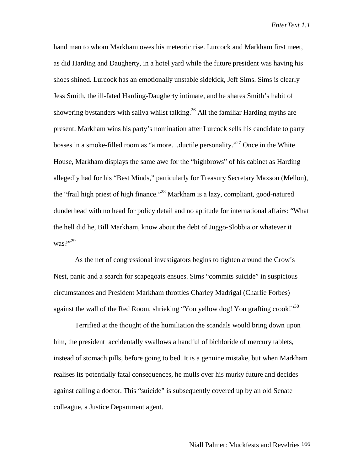hand man to whom Markham owes his meteoric rise. Lurcock and Markham first meet, as did Harding and Daugherty, in a hotel yard while the future president was having his shoes shined. Lurcock has an emotionally unstable sidekick, Jeff Sims. Sims is clearly Jess Smith, the ill-fated Harding-Daugherty intimate, and he shares Smith's habit of showering bystanders with saliva whilst talking.<sup>26</sup> All the familiar Harding myths are present. Markham wins his party's nomination after Lurcock sells his candidate to party bosses in a smoke-filled room as "a more...ductile personality."<sup>27</sup> Once in the White House, Markham displays the same awe for the "highbrows" of his cabinet as Harding allegedly had for his "Best Minds," particularly for Treasury Secretary Maxson (Mellon), the "frail high priest of high finance."28 Markham is a lazy, compliant, good-natured dunderhead with no head for policy detail and no aptitude for international affairs: "What the hell did he, Bill Markham, know about the debt of Juggo-Slobbia or whatever it was?"29

As the net of congressional investigators begins to tighten around the Crow's Nest, panic and a search for scapegoats ensues. Sims "commits suicide" in suspicious circumstances and President Markham throttles Charley Madrigal (Charlie Forbes) against the wall of the Red Room, shrieking "You yellow dog! You grafting crook!"<sup>30</sup>

Terrified at the thought of the humiliation the scandals would bring down upon him, the president accidentally swallows a handful of bichloride of mercury tablets, instead of stomach pills, before going to bed. It is a genuine mistake, but when Markham realises its potentially fatal consequences, he mulls over his murky future and decides against calling a doctor. This "suicide" is subsequently covered up by an old Senate colleague, a Justice Department agent.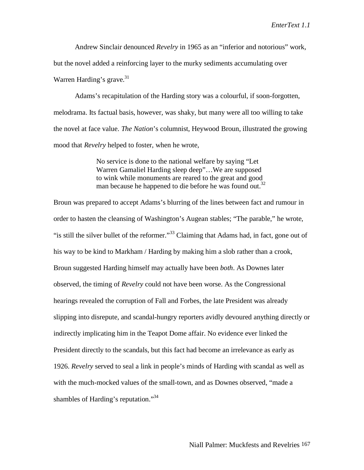Andrew Sinclair denounced *Revelry* in 1965 as an "inferior and notorious" work,

but the novel added a reinforcing layer to the murky sediments accumulating over Warren Harding's grave. $31$ 

Adams's recapitulation of the Harding story was a colourful, if soon-forgotten, melodrama. Its factual basis, however, was shaky, but many were all too willing to take the novel at face value. *The Nation*'s columnist, Heywood Broun, illustrated the growing mood that *Revelry* helped to foster, when he wrote,

> No service is done to the national welfare by saying "Let Warren Gamaliel Harding sleep deep"…We are supposed to wink while monuments are reared to the great and good man because he happened to die before he was found out.<sup>32</sup>

Broun was prepared to accept Adams's blurring of the lines between fact and rumour in order to hasten the cleansing of Washington's Augean stables; "The parable," he wrote, "is still the silver bullet of the reformer."<sup>33</sup> Claiming that Adams had, in fact, gone out of his way to be kind to Markham / Harding by making him a slob rather than a crook, Broun suggested Harding himself may actually have been *both*. As Downes later observed, the timing of *Revelry* could not have been worse. As the Congressional hearings revealed the corruption of Fall and Forbes, the late President was already slipping into disrepute, and scandal-hungry reporters avidly devoured anything directly or indirectly implicating him in the Teapot Dome affair. No evidence ever linked the President directly to the scandals, but this fact had become an irrelevance as early as 1926. *Revelry* served to seal a link in people's minds of Harding with scandal as well as with the much-mocked values of the small-town, and as Downes observed, "made a shambles of Harding's reputation."<sup>34</sup>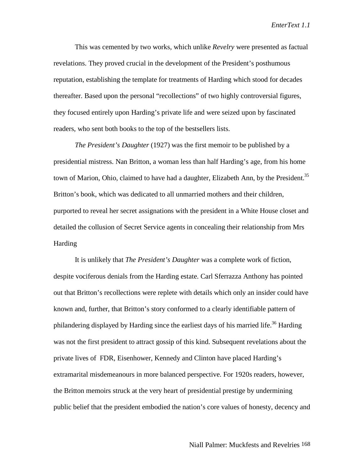This was cemented by two works, which unlike *Revelry* were presented as factual revelations. They proved crucial in the development of the President's posthumous reputation, establishing the template for treatments of Harding which stood for decades thereafter. Based upon the personal "recollections" of two highly controversial figures, they focused entirely upon Harding's private life and were seized upon by fascinated readers, who sent both books to the top of the bestsellers lists.

*The President's Daughter* (1927) was the first memoir to be published by a presidential mistress. Nan Britton, a woman less than half Harding's age, from his home town of Marion, Ohio, claimed to have had a daughter, Elizabeth Ann, by the President.<sup>35</sup> Britton's book, which was dedicated to all unmarried mothers and their children, purported to reveal her secret assignations with the president in a White House closet and detailed the collusion of Secret Service agents in concealing their relationship from Mrs Harding

It is unlikely that *The President's Daughter* was a complete work of fiction, despite vociferous denials from the Harding estate. Carl Sferrazza Anthony has pointed out that Britton's recollections were replete with details which only an insider could have known and, further, that Britton's story conformed to a clearly identifiable pattern of philandering displayed by Harding since the earliest days of his married life.<sup>36</sup> Harding was not the first president to attract gossip of this kind. Subsequent revelations about the private lives of FDR, Eisenhower, Kennedy and Clinton have placed Harding's extramarital misdemeanours in more balanced perspective. For 1920s readers, however, the Britton memoirs struck at the very heart of presidential prestige by undermining public belief that the president embodied the nation's core values of honesty, decency and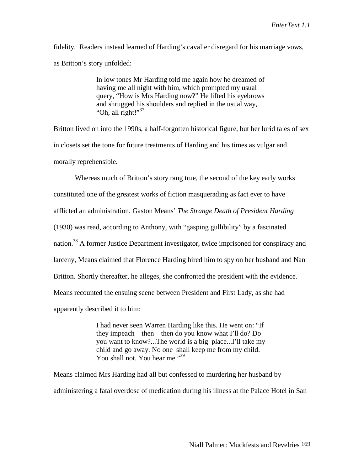fidelity. Readers instead learned of Harding's cavalier disregard for his marriage vows, as Britton's story unfolded:

> In low tones Mr Harding told me again how he dreamed of having me all night with him, which prompted my usual query, "How is Mrs Harding now?" He lifted his eyebrows and shrugged his shoulders and replied in the usual way, "Oh, all right!"<sup>37</sup>

Britton lived on into the 1990s, a half-forgotten historical figure, but her lurid tales of sex in closets set the tone for future treatments of Harding and his times as vulgar and morally reprehensible.

Whereas much of Britton's story rang true, the second of the key early works constituted one of the greatest works of fiction masquerading as fact ever to have afflicted an administration. Gaston Means' *The Strange Death of President Harding* (1930) was read, according to Anthony, with "gasping gullibility" by a fascinated nation.<sup>38</sup> A former Justice Department investigator, twice imprisoned for conspiracy and larceny, Means claimed that Florence Harding hired him to spy on her husband and Nan Britton. Shortly thereafter, he alleges, she confronted the president with the evidence. Means recounted the ensuing scene between President and First Lady, as she had apparently described it to him:

> I had never seen Warren Harding like this. He went on: "If they impeach – then – then do you know what I'll do? Do you want to know?...The world is a big place...I'll take my child and go away. No one shall keep me from my child. You shall not. You hear me."<sup>39</sup>

Means claimed Mrs Harding had all but confessed to murdering her husband by administering a fatal overdose of medication during his illness at the Palace Hotel in San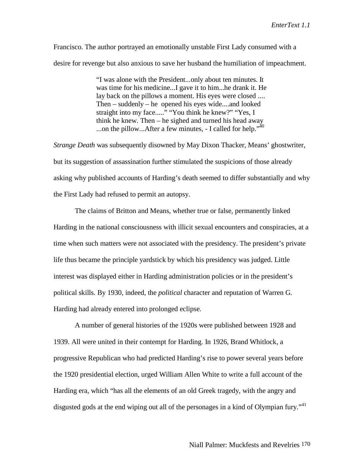Francisco. The author portrayed an emotionally unstable First Lady consumed with a desire for revenge but also anxious to save her husband the humiliation of impeachment.

> "I was alone with the President...only about ten minutes. It was time for his medicine...I gave it to him...he drank it. He lay back on the pillows a moment. His eyes were closed .... Then – suddenly – he opened his eyes wide....and looked straight into my face....." "You think he knew?" "Yes, I think he knew. Then – he sighed and turned his head away ...on the pillow...After a few minutes,  $\overline{ }$ - I called for help.<sup> $,40$ </sup>

*Strange Death* was subsequently disowned by May Dixon Thacker, Means' ghostwriter, but its suggestion of assassination further stimulated the suspicions of those already asking why published accounts of Harding's death seemed to differ substantially and why the First Lady had refused to permit an autopsy.

The claims of Britton and Means, whether true or false, permanently linked Harding in the national consciousness with illicit sexual encounters and conspiracies, at a time when such matters were not associated with the presidency. The president's private life thus became the principle yardstick by which his presidency was judged. Little interest was displayed either in Harding administration policies or in the president's political skills. By 1930, indeed, the *political* character and reputation of Warren G. Harding had already entered into prolonged eclipse.

A number of general histories of the 1920s were published between 1928 and 1939. All were united in their contempt for Harding. In 1926, Brand Whitlock, a progressive Republican who had predicted Harding's rise to power several years before the 1920 presidential election, urged William Allen White to write a full account of the Harding era, which "has all the elements of an old Greek tragedy, with the angry and disgusted gods at the end wiping out all of the personages in a kind of Olympian fury."<sup>41</sup>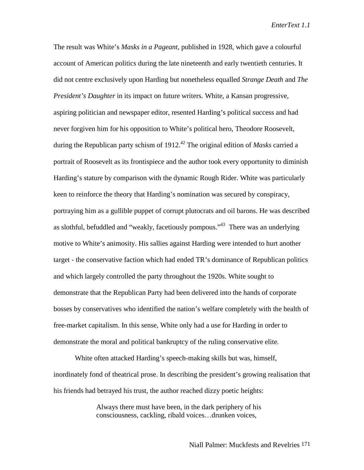The result was White's *Masks in a Pageant,* published in 1928, which gave a colourful account of American politics during the late nineteenth and early twentieth centuries. It did not centre exclusively upon Harding but nonetheless equalled *Strange Death* and *The President's Daughter* in its impact on future writers. White, a Kansan progressive, aspiring politician and newspaper editor, resented Harding's political success and had never forgiven him for his opposition to White's political hero, Theodore Roosevelt, during the Republican party schism of 1912<sup>.42</sup> The original edition of *Masks* carried a portrait of Roosevelt as its frontispiece and the author took every opportunity to diminish Harding's stature by comparison with the dynamic Rough Rider. White was particularly keen to reinforce the theory that Harding's nomination was secured by conspiracy, portraying him as a gullible puppet of corrupt plutocrats and oil barons. He was described as slothful, befuddled and "weakly, facetiously pompous."43 There was an underlying motive to White's animosity. His sallies against Harding were intended to hurt another target - the conservative faction which had ended TR's dominance of Republican politics and which largely controlled the party throughout the 1920s. White sought to demonstrate that the Republican Party had been delivered into the hands of corporate bosses by conservatives who identified the nation's welfare completely with the health of free-market capitalism. In this sense, White only had a use for Harding in order to demonstrate the moral and political bankruptcy of the ruling conservative elite.

White often attacked Harding's speech-making skills but was, himself, inordinately fond of theatrical prose. In describing the president's growing realisation that his friends had betrayed his trust, the author reached dizzy poetic heights:

> Always there must have been, in the dark periphery of his consciousness, cackling, ribald voices…drunken voices,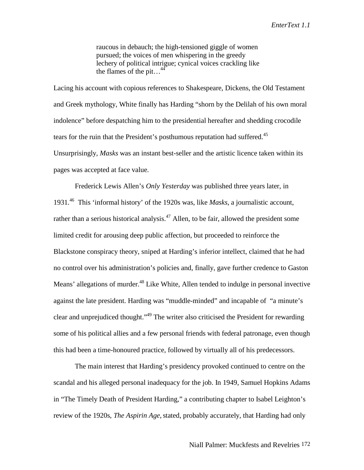raucous in debauch; the high-tensioned giggle of women pursued; the voices of men whispering in the greedy lechery of political intrigue; cynical voices crackling like the flames of the pit...<sup>44</sup>

Lacing his account with copious references to Shakespeare, Dickens, the Old Testament and Greek mythology, White finally has Harding "shorn by the Delilah of his own moral indolence" before despatching him to the presidential hereafter and shedding crocodile tears for the ruin that the President's posthumous reputation had suffered.<sup>45</sup> Unsurprisingly, *Masks* was an instant best-seller and the artistic licence taken within its pages was accepted at face value.

Frederick Lewis Allen's *Only Yesterday* was published three years later, in 1931*.* 46 This 'informal history' of the 1920s was, like *Masks*, a journalistic account, rather than a serious historical analysis.<sup>47</sup> Allen, to be fair, allowed the president some limited credit for arousing deep public affection, but proceeded to reinforce the Blackstone conspiracy theory, sniped at Harding's inferior intellect, claimed that he had no control over his administration's policies and, finally, gave further credence to Gaston Means' allegations of murder.<sup>48</sup> Like White, Allen tended to indulge in personal invective against the late president. Harding was "muddle-minded" and incapable of "a minute's clear and unprejudiced thought."49 The writer also criticised the President for rewarding some of his political allies and a few personal friends with federal patronage, even though this had been a time-honoured practice, followed by virtually all of his predecessors.

The main interest that Harding's presidency provoked continued to centre on the scandal and his alleged personal inadequacy for the job. In 1949, Samuel Hopkins Adams in "The Timely Death of President Harding," a contributing chapter to Isabel Leighton's review of the 1920s, *The Aspirin Age*, stated, probably accurately, that Harding had only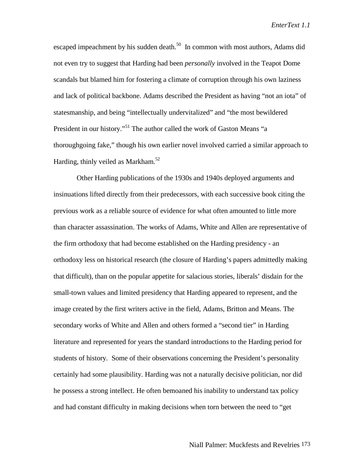escaped impeachment by his sudden death. $50$  In common with most authors, Adams did not even try to suggest that Harding had been *personally* involved in the Teapot Dome scandals but blamed him for fostering a climate of corruption through his own laziness and lack of political backbone. Adams described the President as having "not an iota" of statesmanship, and being "intellectually undervitalized" and "the most bewildered President in our history."<sup>51</sup> The author called the work of Gaston Means "a thoroughgoing fake," though his own earlier novel involved carried a similar approach to Harding, thinly veiled as Markham.<sup>52</sup>

 Other Harding publications of the 1930s and 1940s deployed arguments and insinuations lifted directly from their predecessors, with each successive book citing the previous work as a reliable source of evidence for what often amounted to little more than character assassination. The works of Adams, White and Allen are representative of the firm orthodoxy that had become established on the Harding presidency - an orthodoxy less on historical research (the closure of Harding's papers admittedly making that difficult), than on the popular appetite for salacious stories, liberals' disdain for the small-town values and limited presidency that Harding appeared to represent, and the image created by the first writers active in the field, Adams, Britton and Means. The secondary works of White and Allen and others formed a "second tier" in Harding literature and represented for years the standard introductions to the Harding period for students of history. Some of their observations concerning the President's personality certainly had some plausibility. Harding was not a naturally decisive politician, nor did he possess a strong intellect. He often bemoaned his inability to understand tax policy and had constant difficulty in making decisions when torn between the need to "get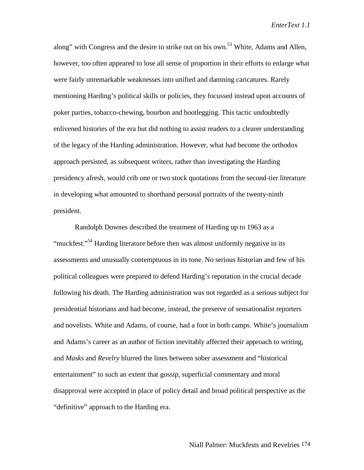along" with Congress and the desire to strike out on his own.<sup>53</sup> White, Adams and Allen, however, too often appeared to lose all sense of proportion in their efforts to enlarge what were fairly unremarkable weaknesses into unified and damning caricatures. Rarely mentioning Harding's political skills or policies, they focussed instead upon accounts of poker parties, tobacco-chewing, bourbon and bootlegging. This tactic undoubtedly enlivened histories of the era but did nothing to assist readers to a clearer understanding of the legacy of the Harding administration. However, what had become the orthodox approach persisted, as subsequent writers, rather than investigating the Harding presidency afresh, would crib one or two stock quotations from the second-tier literature in developing what amounted to shorthand personal portraits of the twenty-ninth president.

Randolph Downes described the treatment of Harding up to 1963 as a "muckfest."<sup>54</sup> Harding literature before then was almost uniformly negative in its assessments and unusually contemptuous in its tone. No serious historian and few of his political colleagues were prepared to defend Harding's reputation in the crucial decade following his death. The Harding administration was not regarded as a serious subject for presidential historians and had become, instead, the preserve of sensationalist reporters and novelists. White and Adams, of course, had a foot in both camps. White's journalism and Adams's career as an author of fiction inevitably affected their approach to writing, and *Masks* and *Revelry* blurred the lines between sober assessment and "historical entertainment" to such an extent that gossip, superficial commentary and moral disapproval were accepted in place of policy detail and broad political perspective as the "definitive" approach to the Harding era.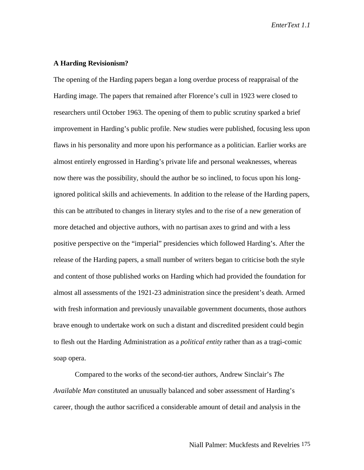## **A Harding Revisionism?**

The opening of the Harding papers began a long overdue process of reappraisal of the Harding image. The papers that remained after Florence's cull in 1923 were closed to researchers until October 1963. The opening of them to public scrutiny sparked a brief improvement in Harding's public profile. New studies were published, focusing less upon flaws in his personality and more upon his performance as a politician. Earlier works are almost entirely engrossed in Harding's private life and personal weaknesses, whereas now there was the possibility, should the author be so inclined, to focus upon his longignored political skills and achievements. In addition to the release of the Harding papers, this can be attributed to changes in literary styles and to the rise of a new generation of more detached and objective authors, with no partisan axes to grind and with a less positive perspective on the "imperial" presidencies which followed Harding's. After the release of the Harding papers, a small number of writers began to criticise both the style and content of those published works on Harding which had provided the foundation for almost all assessments of the 1921-23 administration since the president's death. Armed with fresh information and previously unavailable government documents, those authors brave enough to undertake work on such a distant and discredited president could begin to flesh out the Harding Administration as a *political entity* rather than as a tragi-comic soap opera.

Compared to the works of the second-tier authors, Andrew Sinclair's *The Available Man* constituted an unusually balanced and sober assessment of Harding's career, though the author sacrificed a considerable amount of detail and analysis in the

Niall Palmer: Muckfests and Revelries 175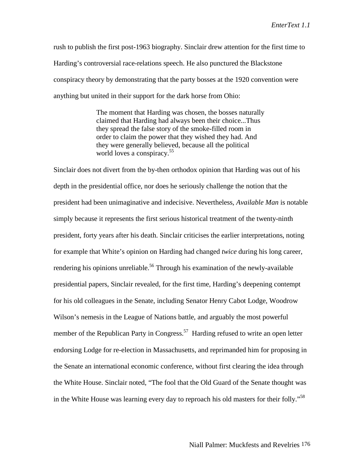rush to publish the first post-1963 biography. Sinclair drew attention for the first time to Harding's controversial race-relations speech. He also punctured the Blackstone conspiracy theory by demonstrating that the party bosses at the 1920 convention were anything but united in their support for the dark horse from Ohio:

> The moment that Harding was chosen, the bosses naturally claimed that Harding had always been their choice...Thus they spread the false story of the smoke-filled room in order to claim the power that they wished they had. And they were generally believed, because all the political world loves a conspiracy.<sup>55</sup>

Sinclair does not divert from the by-then orthodox opinion that Harding was out of his depth in the presidential office, nor does he seriously challenge the notion that the president had been unimaginative and indecisive. Nevertheless, *Available Man* is notable simply because it represents the first serious historical treatment of the twenty-ninth president, forty years after his death. Sinclair criticises the earlier interpretations, noting for example that White's opinion on Harding had changed *twice* during his long career, rendering his opinions unreliable.<sup>56</sup> Through his examination of the newly-available presidential papers, Sinclair revealed, for the first time, Harding's deepening contempt for his old colleagues in the Senate, including Senator Henry Cabot Lodge, Woodrow Wilson's nemesis in the League of Nations battle, and arguably the most powerful member of the Republican Party in Congress.<sup>57</sup> Harding refused to write an open letter endorsing Lodge for re-election in Massachusetts, and reprimanded him for proposing in the Senate an international economic conference, without first clearing the idea through the White House. Sinclair noted, "The fool that the Old Guard of the Senate thought was in the White House was learning every day to reproach his old masters for their folly."58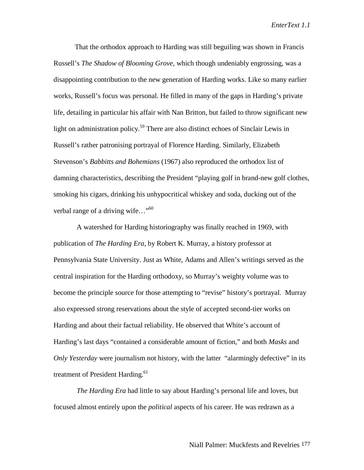That the orthodox approach to Harding was still beguiling was shown in Francis Russell's *The Shadow of Blooming Grove*, which though undeniably engrossing, was a disappointing contribution to the new generation of Harding works. Like so many earlier works, Russell's focus was personal. He filled in many of the gaps in Harding's private life, detailing in particular his affair with Nan Britton, but failed to throw significant new light on administration policy.<sup>59</sup> There are also distinct echoes of Sinclair Lewis in Russell's rather patronising portrayal of Florence Harding. Similarly, Elizabeth Stevenson's *Babbitts and Bohemians* (1967) also reproduced the orthodox list of damning characteristics, describing the President "playing golf in brand-new golf clothes, smoking his cigars, drinking his unhypocritical whiskey and soda, ducking out of the verbal range of a driving wife..."<sup>60</sup>

 A watershed for Harding historiography was finally reached in 1969, with publication of *The Harding Era*, by Robert K. Murray, a history professor at Pennsylvania State University. Just as White, Adams and Allen's writings served as the central inspiration for the Harding orthodoxy, so Murray's weighty volume was to become the principle source for those attempting to "revise" history's portrayal. Murray also expressed strong reservations about the style of accepted second-tier works on Harding and about their factual reliability. He observed that White's account of Harding's last days "contained a considerable amount of fiction," and both *Masks* and *Only Yesterday* were journalism not history, with the latter "alarmingly defective" in its treatment of President Harding.<sup>61</sup>

*The Harding Era* had little to say about Harding's personal life and loves, but focused almost entirely upon the *political* aspects of his career. He was redrawn as a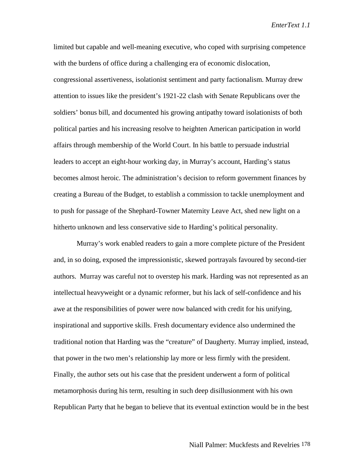limited but capable and well-meaning executive, who coped with surprising competence with the burdens of office during a challenging era of economic dislocation, congressional assertiveness, isolationist sentiment and party factionalism. Murray drew attention to issues like the president's 1921-22 clash with Senate Republicans over the soldiers' bonus bill, and documented his growing antipathy toward isolationists of both political parties and his increasing resolve to heighten American participation in world affairs through membership of the World Court. In his battle to persuade industrial leaders to accept an eight-hour working day, in Murray's account, Harding's status becomes almost heroic. The administration's decision to reform government finances by creating a Bureau of the Budget, to establish a commission to tackle unemployment and to push for passage of the Shephard-Towner Maternity Leave Act, shed new light on a hitherto unknown and less conservative side to Harding's political personality.

 Murray's work enabled readers to gain a more complete picture of the President and, in so doing, exposed the impressionistic, skewed portrayals favoured by second-tier authors. Murray was careful not to overstep his mark. Harding was not represented as an intellectual heavyweight or a dynamic reformer, but his lack of self-confidence and his awe at the responsibilities of power were now balanced with credit for his unifying, inspirational and supportive skills. Fresh documentary evidence also undermined the traditional notion that Harding was the "creature" of Daugherty. Murray implied, instead, that power in the two men's relationship lay more or less firmly with the president. Finally, the author sets out his case that the president underwent a form of political metamorphosis during his term, resulting in such deep disillusionment with his own Republican Party that he began to believe that its eventual extinction would be in the best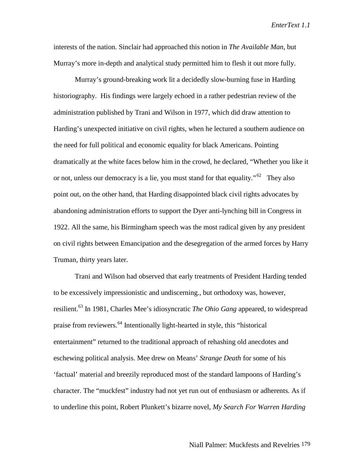interests of the nation. Sinclair had approached this notion in *The Available Man*, but Murray's more in-depth and analytical study permitted him to flesh it out more fully.

Murray's ground-breaking work lit a decidedly slow-burning fuse in Harding historiography. His findings were largely echoed in a rather pedestrian review of the administration published by Trani and Wilson in 1977, which did draw attention to Harding's unexpected initiative on civil rights, when he lectured a southern audience on the need for full political and economic equality for black Americans. Pointing dramatically at the white faces below him in the crowd, he declared, "Whether you like it or not, unless our democracy is a lie, you must stand for that equality." <sup>62</sup> They also point out, on the other hand, that Harding disappointed black civil rights advocates by abandoning administration efforts to support the Dyer anti-lynching bill in Congress in 1922. All the same, his Birmingham speech was the most radical given by any president on civil rights between Emancipation and the desegregation of the armed forces by Harry Truman, thirty years later.

Trani and Wilson had observed that early treatments of President Harding tended to be excessively impressionistic and undiscerning., but orthodoxy was, however, resilient.63 In 1981, Charles Mee's idiosyncratic *The Ohio Gang* appeared, to widespread praise from reviewers.64 Intentionally light-hearted in style, this "historical entertainment" returned to the traditional approach of rehashing old anecdotes and eschewing political analysis. Mee drew on Means' *Strange Death* for some of his 'factual' material and breezily reproduced most of the standard lampoons of Harding's character. The "muckfest" industry had not yet run out of enthusiasm or adherents. As if to underline this point, Robert Plunkett's bizarre novel, *My Search For Warren Harding*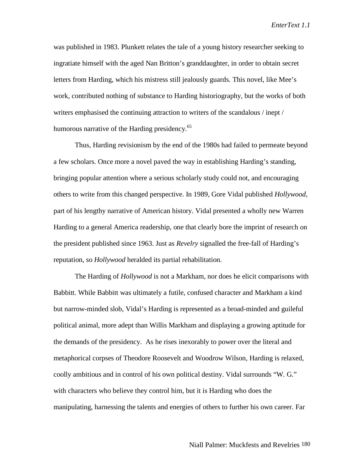was published in 1983. Plunkett relates the tale of a young history researcher seeking to ingratiate himself with the aged Nan Britton's granddaughter, in order to obtain secret letters from Harding, which his mistress still jealously guards. This novel, like Mee's work, contributed nothing of substance to Harding historiography, but the works of both writers emphasised the continuing attraction to writers of the scandalous / inept / humorous narrative of the Harding presidency.<sup>65</sup>

Thus, Harding revisionism by the end of the 1980s had failed to permeate beyond a few scholars. Once more a novel paved the way in establishing Harding's standing, bringing popular attention where a serious scholarly study could not, and encouraging others to write from this changed perspective. In 1989, Gore Vidal published *Hollywood*, part of his lengthy narrative of American history. Vidal presented a wholly new Warren Harding to a general America readership, one that clearly bore the imprint of research on the president published since 1963. Just as *Revelry* signalled the free-fall of Harding's reputation, so *Hollywood* heralded its partial rehabilitation.

The Harding of *Hollywood* is not a Markham, nor does he elicit comparisons with Babbitt. While Babbitt was ultimately a futile, confused character and Markham a kind but narrow-minded slob, Vidal's Harding is represented as a broad-minded and guileful political animal, more adept than Willis Markham and displaying a growing aptitude for the demands of the presidency. As he rises inexorably to power over the literal and metaphorical corpses of Theodore Roosevelt and Woodrow Wilson, Harding is relaxed, coolly ambitious and in control of his own political destiny. Vidal surrounds "W. G." with characters who believe they control him, but it is Harding who does the manipulating, harnessing the talents and energies of others to further his own career. Far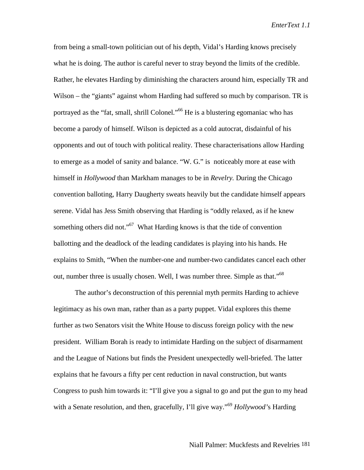from being a small-town politician out of his depth, Vidal's Harding knows precisely what he is doing. The author is careful never to stray beyond the limits of the credible. Rather, he elevates Harding by diminishing the characters around him, especially TR and Wilson – the "giants" against whom Harding had suffered so much by comparison. TR is portrayed as the "fat, small, shrill Colonel."<sup>66</sup> He is a blustering egomaniac who has become a parody of himself. Wilson is depicted as a cold autocrat, disdainful of his opponents and out of touch with political reality. These characterisations allow Harding to emerge as a model of sanity and balance. "W. G." is noticeably more at ease with himself in *Hollywood* than Markham manages to be in *Revelry.* During the Chicago convention balloting, Harry Daugherty sweats heavily but the candidate himself appears serene. Vidal has Jess Smith observing that Harding is "oddly relaxed, as if he knew something others did not."<sup>67</sup> What Harding knows is that the tide of convention ballotting and the deadlock of the leading candidates is playing into his hands. He explains to Smith, "When the number-one and number-two candidates cancel each other out, number three is usually chosen. Well, I was number three. Simple as that."<sup>68</sup>

The author's deconstruction of this perennial myth permits Harding to achieve legitimacy as his own man, rather than as a party puppet. Vidal explores this theme further as two Senators visit the White House to discuss foreign policy with the new president. William Borah is ready to intimidate Harding on the subject of disarmament and the League of Nations but finds the President unexpectedly well-briefed. The latter explains that he favours a fifty per cent reduction in naval construction, but wants Congress to push him towards it: "I'll give you a signal to go and put the gun to my head with a Senate resolution, and then, gracefully, I'll give way."<sup>69</sup> *Hollywood*'s Harding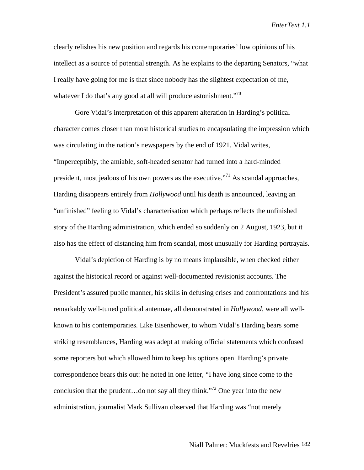clearly relishes his new position and regards his contemporaries' low opinions of his intellect as a source of potential strength. As he explains to the departing Senators, "what I really have going for me is that since nobody has the slightest expectation of me, whatever I do that's any good at all will produce astonishment. $\cdot^{70}$ 

Gore Vidal's interpretation of this apparent alteration in Harding's political character comes closer than most historical studies to encapsulating the impression which was circulating in the nation's newspapers by the end of 1921. Vidal writes, "Imperceptibly, the amiable, soft-headed senator had turned into a hard-minded president, most jealous of his own powers as the executive.<sup> $271$ </sup> As scandal approaches, Harding disappears entirely from *Hollywood* until his death is announced, leaving an "unfinished" feeling to Vidal's characterisation which perhaps reflects the unfinished story of the Harding administration, which ended so suddenly on 2 August, 1923, but it also has the effect of distancing him from scandal, most unusually for Harding portrayals.

Vidal's depiction of Harding is by no means implausible, when checked either against the historical record or against well-documented revisionist accounts. The President's assured public manner, his skills in defusing crises and confrontations and his remarkably well-tuned political antennae, all demonstrated in *Hollywood*, were all wellknown to his contemporaries. Like Eisenhower, to whom Vidal's Harding bears some striking resemblances, Harding was adept at making official statements which confused some reporters but which allowed him to keep his options open. Harding's private correspondence bears this out: he noted in one letter, "I have long since come to the conclusion that the prudent...do not say all they think."<sup>72</sup> One year into the new administration, journalist Mark Sullivan observed that Harding was "not merely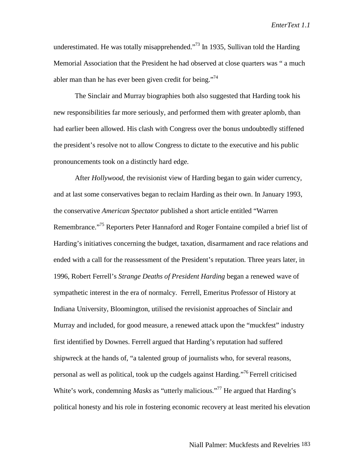underestimated. He was totally misapprehended. $173$  In 1935, Sullivan told the Harding Memorial Association that the President he had observed at close quarters was " a much abler man than he has ever been given credit for being."<sup>74</sup>

The Sinclair and Murray biographies both also suggested that Harding took his new responsibilities far more seriously, and performed them with greater aplomb, than had earlier been allowed. His clash with Congress over the bonus undoubtedly stiffened the president's resolve not to allow Congress to dictate to the executive and his public pronouncements took on a distinctly hard edge.

After *Hollywood*, the revisionist view of Harding began to gain wider currency, and at last some conservatives began to reclaim Harding as their own. In January 1993, the conservative *American Spectator* published a short article entitled "Warren Remembrance."<sup>75</sup> Reporters Peter Hannaford and Roger Fontaine compiled a brief list of Harding's initiatives concerning the budget, taxation, disarmament and race relations and ended with a call for the reassessment of the President's reputation. Three years later, in 1996, Robert Ferrell's *Strange Deaths of President Harding* began a renewed wave of sympathetic interest in the era of normalcy. Ferrell, Emeritus Professor of History at Indiana University, Bloomington, utilised the revisionist approaches of Sinclair and Murray and included, for good measure, a renewed attack upon the "muckfest" industry first identified by Downes. Ferrell argued that Harding's reputation had suffered shipwreck at the hands of, "a talented group of journalists who, for several reasons, personal as well as political, took up the cudgels against Harding."<sup>76</sup> Ferrell criticised White's work, condemning *Masks* as "utterly malicious."<sup>77</sup> He argued that Harding's political honesty and his role in fostering economic recovery at least merited his elevation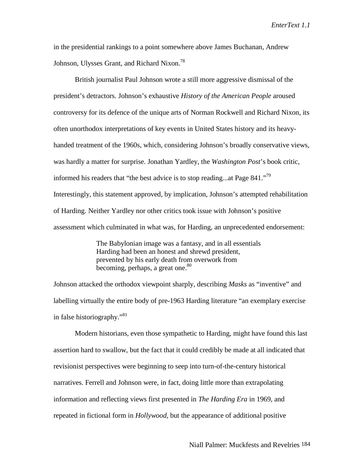in the presidential rankings to a point somewhere above James Buchanan, Andrew Johnson, Ulysses Grant, and Richard Nixon.<sup>78</sup>

British journalist Paul Johnson wrote a still more aggressive dismissal of the president's detractors. Johnson's exhaustive *History of the American People* aroused controversy for its defence of the unique arts of Norman Rockwell and Richard Nixon, its often unorthodox interpretations of key events in United States history and its heavyhanded treatment of the 1960s, which, considering Johnson's broadly conservative views, was hardly a matter for surprise. Jonathan Yardley, the *Washington Post*'s book critic, informed his readers that "the best advice is to stop reading...at Page 841."<sup>79</sup> Interestingly, this statement approved, by implication, Johnson's attempted rehabilitation of Harding. Neither Yardley nor other critics took issue with Johnson's positive assessment which culminated in what was, for Harding, an unprecedented endorsement:

> The Babylonian image was a fantasy, and in all essentials Harding had been an honest and shrewd president, prevented by his early death from overwork from becoming, perhaps, a great one.<sup>80</sup>

Johnson attacked the orthodox viewpoint sharply, describing *Masks* as "inventive" and labelling virtually the entire body of pre-1963 Harding literature "an exemplary exercise in false historiography."<sup>81</sup>

Modern historians, even those sympathetic to Harding, might have found this last assertion hard to swallow, but the fact that it could credibly be made at all indicated that revisionist perspectives were beginning to seep into turn-of-the-century historical narratives. Ferrell and Johnson were, in fact, doing little more than extrapolating information and reflecting views first presented in *The Harding Era* in 1969, and repeated in fictional form in *Hollywood,* but the appearance of additional positive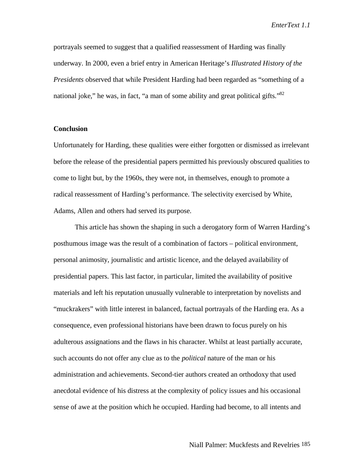portrayals seemed to suggest that a qualified reassessment of Harding was finally underway. In 2000, even a brief entry in American Heritage's *Illustrated History of the Presidents* observed that while President Harding had been regarded as "something of a national joke," he was, in fact, "a man of some ability and great political gifts."<sup>82</sup>

### **Conclusion**

Unfortunately for Harding, these qualities were either forgotten or dismissed as irrelevant before the release of the presidential papers permitted his previously obscured qualities to come to light but, by the 1960s, they were not, in themselves, enough to promote a radical reassessment of Harding's performance. The selectivity exercised by White, Adams, Allen and others had served its purpose.

This article has shown the shaping in such a derogatory form of Warren Harding's posthumous image was the result of a combination of factors – political environment, personal animosity, journalistic and artistic licence, and the delayed availability of presidential papers. This last factor, in particular, limited the availability of positive materials and left his reputation unusually vulnerable to interpretation by novelists and "muckrakers" with little interest in balanced, factual portrayals of the Harding era. As a consequence, even professional historians have been drawn to focus purely on his adulterous assignations and the flaws in his character. Whilst at least partially accurate, such accounts do not offer any clue as to the *political* nature of the man or his administration and achievements. Second-tier authors created an orthodoxy that used anecdotal evidence of his distress at the complexity of policy issues and his occasional sense of awe at the position which he occupied. Harding had become, to all intents and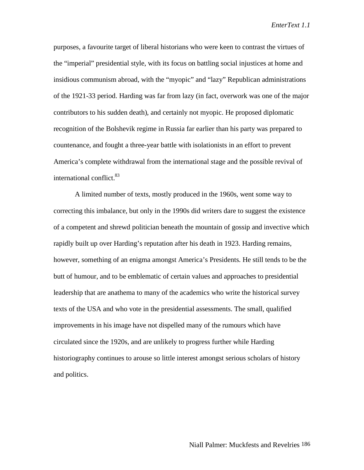purposes, a favourite target of liberal historians who were keen to contrast the virtues of the "imperial" presidential style, with its focus on battling social injustices at home and insidious communism abroad, with the "myopic" and "lazy" Republican administrations of the 1921-33 period. Harding was far from lazy (in fact, overwork was one of the major contributors to his sudden death), and certainly not myopic. He proposed diplomatic recognition of the Bolshevik regime in Russia far earlier than his party was prepared to countenance, and fought a three-year battle with isolationists in an effort to prevent America's complete withdrawal from the international stage and the possible revival of international conflict.<sup>83</sup>

A limited number of texts, mostly produced in the 1960s, went some way to correcting this imbalance, but only in the 1990s did writers dare to suggest the existence of a competent and shrewd politician beneath the mountain of gossip and invective which rapidly built up over Harding's reputation after his death in 1923. Harding remains, however, something of an enigma amongst America's Presidents. He still tends to be the butt of humour, and to be emblematic of certain values and approaches to presidential leadership that are anathema to many of the academics who write the historical survey texts of the USA and who vote in the presidential assessments. The small, qualified improvements in his image have not dispelled many of the rumours which have circulated since the 1920s, and are unlikely to progress further while Harding historiography continues to arouse so little interest amongst serious scholars of history and politics.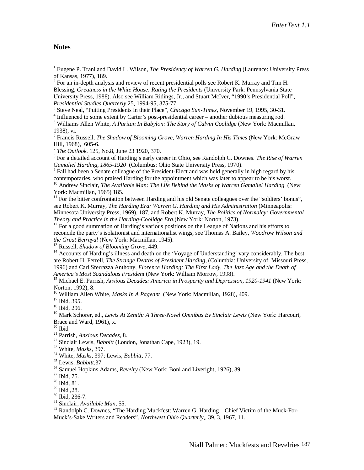#### **Notes**

 $2^2$  For an in-depth analysis and review of recent presidential polls see Robert K. Murray and Tim H. Blessing, *Greatness in the White House: Rating the Presidents* (University Park: Pennsylvania State University Press, 1988). Also see William Ridings, Jr., and Stuart McIver, "1990's Presidential Poll", *Presidential Studies Quarterly 25, 1994-95, 375-77.* 

Steve Neal, "Putting Presidents in their Place", *Chicago Sun-Times,* November 19, 1995, 30-31. <sup>4</sup>

<sup>4</sup> Influenced to some extent by Carter's post-presidential career – another dubious measuring rod.

5 Williams Allen White, *A Puritan In Babylon: The Story of Calvin Coolidge* (New York: Macmillan, 1938), vi.

6 Francis Russell, *The Shadow of Blooming Grove, Warren Harding In His Times* (New York: McGraw Hill, 1968), 605-6.<br><sup>7</sup> *The Outlook.* 125, No.8, June 23 1920, 370.

 For a detailed account of Harding's early career in Ohio, see Randolph C. Downes. *The Rise of Warren Gamaliel Harding, 1865-1920* (Columbus: Ohio State University Press, 1970).

<sup>9</sup> Fall had been a Senate colleague of the President-Elect and was held generally in high regard by his contemporaries, who praised Harding for the appointment which was later to appear to be his worst.

<sup>10</sup> Andrew Sinclair, *The Available Man: The Life Behind the Masks of Warren Gamaliel Harding* (New York: Macmillan, 1965) 185.

 $11$  For the bitter confrontation between Harding and his old Senate colleagues over the "soldiers' bonus", see Robert K. Murray, *The Harding Era: Warren G. Harding and His Administration* (Minneapolis: Minnesota University Press, 1969)*,* 187, and Robert K. Murray, *The Politics of Normalcy: Governmental*

<sup>12</sup> For a good summation of Harding's various positions on the League of Nations and his efforts to reconcile the party's isolationist and internationalist wings, see Thomas A. Bailey, *Woodrow Wilson and the Great Betrayal* (New York: Macmillan, 1945).<br><sup>13</sup> Russell, *Shadow of Blooming Grove*, 449.<br><sup>14</sup> Accounts of Harding's illness and death on the 'Voyage of Understanding' vary considerably. The best

are Robert H. Ferrell, *The Strange Deaths of President Harding*, (Columbia: University of Missouri Press, 1996) and Carl Sferrazza Anthony, *Florence Harding: The First Lady, The Jazz Age and the Death of*

*America's Most Scandalous President* (New York: William Morrow, 1998).<br><sup>15</sup> Michael E. Parrish, *Anxious Decades: America in Prosperity and Depression, 1920-1941* (New York: Norton, 1992), 8.

<sup>16</sup> William Allen White, *Masks In A Pageant* (New York: Macmillan, 1928), 409.<br><sup>17</sup> Ibid, 395.

18 Ibid, 296.

<sup>19</sup> Mark Schorer, ed., *Lewis At Zenith: A Three-Novel Omnibus By Sinclair Lewis* (New York: Harcourt, Brace and Ward, 1961), x.

<sup>20</sup> Ibid<br><sup>21</sup> Parrish, *Anxious Decades*, 8.

<sup>22</sup> Sinclair Lewis, *Babbitt* (London, Jonathan Cape, 1923), 19.<br><sup>23</sup> White, *Masks*, 397.<br><sup>24</sup> White, *Masks*, 397; Lewis, *Babbitt*, 77.<br><sup>25</sup> Lewis, *Babbitt*, 37.<br><sup>26</sup> Samuel Hopkins Adams, *Revelry* (New York: Boni a

 $^{28}$  Ibid, 81.<br> $^{29}$  Ibid, 28.

<sup>30</sup> Ibid, 236-7.<br><sup>31</sup> Sinclair, *Available Man*, 55.<br><sup>32</sup> Randolph C. Downes, "The Harding Muckfest: Warren G. Harding – Chief Victim of the Muck-For-Muck's-Sake Writers and Readers". *Northwest Ohio Quarterly*,*,* 39, 3, 1967, 11.

 1 Eugene P. Trani and David L. Wilson, *The Presidency of Warren G. Harding* (Laurence: University Press of Kansas, 1977), 189.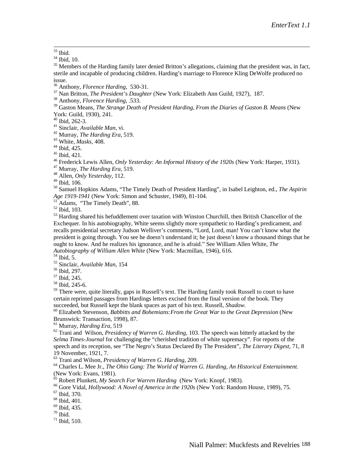$33$  Ibid.

 $34$  Ibid, 10.

<sup>35</sup> Members of the Harding family later denied Britton's allegations, claiming that the president was, in fact, sterile and incapable of producing children. Harding's marriage to Florence Kling DeWolfe produced no

issue.<br><sup>36</sup> Anthony, *Florence Harding*, 530-31.

<sup>37</sup> Nan Britton, *The President's Daughter* (New York: Elizabeth Ann Guild, 1927), 187. <sup>38</sup> Anthony, *Florence Harding*, .533.

39 Gaston Means, *The Strange Death of President Harding, From the Diaries of Gaston B. Means* (New

York: Guild, 1930), 241.

 $^{40}$  Ibid, 262-3.<br> $^{41}$  Sinclair, *Available Man*, vi.

<sup>42</sup> Murray, *The Harding Era*, 519.<br><sup>43</sup> White, *Masks*, 408.<br><sup>44</sup> Ibid, 425.<br><sup>45</sup> Ibid, 421.

<sup>46</sup> Frederick Lewis Allen, *Only Yesterday: An Informal History of the 1920s* (New York: Harper, 1931).<br><sup>47</sup> Murray, *The Harding Era*, 519.<br><sup>48</sup> Allen, *Only Yesterday*, 112.

49 Ibid, 106.

50 Samuel Hopkins Adams, "The Timely Death of President Harding", in Isabel Leighton, ed., *The Aspirin Age 1919-1941* (New York: Simon and Schuster, 1949), 81-104.<br><sup>51</sup> Adams, "The Timely Death", 88.<br><sup>52</sup> Ibid, 103.

<sup>53</sup> Harding shared his befuddlement over taxation with Winston Churchill, then British Chancellor of the Exchequer. In his autobiography, White seems slightly more sympathetic to Harding's predicament, and recalls presidential secretary Judson Welliver's comments, "Lord, Lord, man! You can't know what the president is going through. You see he doesn't understand it; he just doesn't know a thousand things that he ought to know. And he realizes his ignorance, and he is afraid." See William Allen White, *The Autobiography of William Allen White* (New York: Macmillan, 1946), 616. 54 Ibid, 5.

55 Sinclair, *Available Man*, 154 56 Ibid, 297*.* 57 Ibid, 245.

58 Ibid, 245-6.

 $59$  There were, quite literally, gaps in Russell's text. The Harding family took Russell to court to have certain reprinted passages from Hardings letters excised from the final version of the book. They succeeded, but Russell kept the blank spaces as part of his text. Russell, Shadow.

<sup>60</sup> Elizabeth Stevenson, *Babbitts and Bohemians: From the Great War to the Great Depression* (New Brunswick: Transaction, 1998), 87.<br><sup>61</sup> Murray, *Harding Era*, 519

61 Murray, *Harding Era*, 519 62 Trani and Wilson, *Presidency of Warren G. Harding,* 103. The speech was bitterly attacked by the *Selma Times-Journal* for challenging the "cherished tradition of white supremacy". For reports of the speech and its reception, see "The Negro's Status Declared By The President", *The Literary Digest,* 71, 8 19 November, 1921, 7.<br><sup>63</sup> Trani and Wilson, *Presidency of Warren G. Harding*, 209.

<sup>64</sup> Charles L. Mee Jr., *The Ohio Gang: The World of Warren G. Harding*, An Historical Entertainment. (New York: Evans, 1981).<br>
<sup>65</sup> Robert Plunkett, *My Search For Warren Harding* (New York: Knopf, 1983).

<sup>66</sup> Gore Vidal, *Hollywood: A Novel of America in the 1920s* (New York: Random House, 1989), 75. <sup>67</sup> Ibid, 370.

68 Ibid, 401.

69 Ibid, 435.

 $70$  Ibid.

 $71$  Ibid, 510.